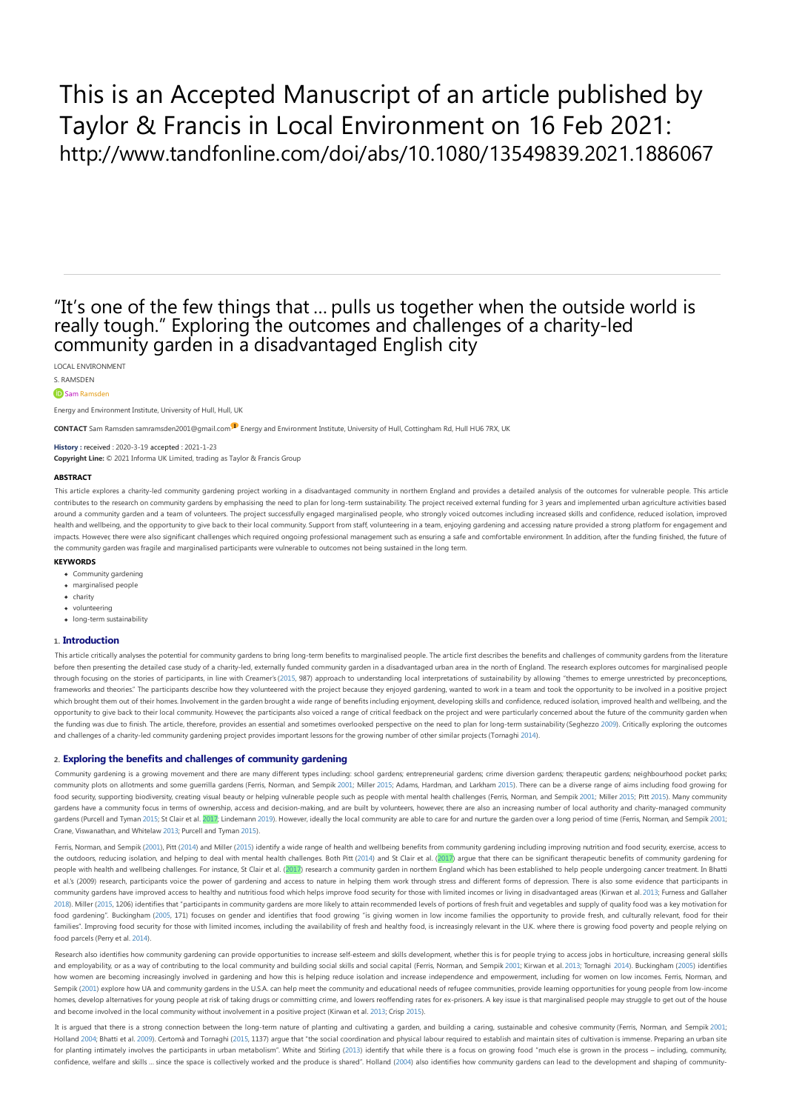# <span id="page-0-3"></span><span id="page-0-2"></span><span id="page-0-1"></span>This is an Accepted Manuscript of an article published by Taylor & Francis in Local Environment on 16 Feb 2021: http://www.tandfonline.com/doi/abs/10.1080/13549839.2021.1886067

# <span id="page-0-5"></span><span id="page-0-4"></span><span id="page-0-0"></span>EQUITY COLONING THE COLONICS AND CHAIRTYSES ON A CHAIRTY TEACH<br>COMMUNITY GARLENVIRONMENT<br>LOCAL ENVIRONMENT<br>CRAMSDEN<br>Energy and Environment Institute, University of Hull, Hull, UK "It's one of the few things that … pulls us together when the outside world is really tough." Exploring the outcomes and challenges of a charity-led

LOCAL ENVIRONMENT

# S. RAMSDEN

Energy and Environment Institute, University of Hull, Hull, UK

 $\tt CoNTACT$  Sam Ramsden samramsden2001@gmail.com $^{\bf \mathcal{D}}$  Energy and Environment Institute, University of Hull, Cottingham Rd, Hull HU6 7RX, UK

**History :** received : 2020-3-19 accepted : 2021-1-23 **Copyright Line:** © 2021 Informa UK Limited, trading as Taylor & Francis Group

#### **ABSTRACT**

This article explores a charity-led community gardening project working in a disadvantaged community in northern England and provides a detailed analysis of the outcomes for vulnerable people. This article contributes to the research on community gardens by emphasising the need to plan for long-term sustainability. The project received external funding for 3 years and implemented urban agriculture activities based around a community garden and a team of volunteers. The project successfully engaged marginalised people, who strongly voiced outcomes including increased skills and confidence, reduced isolation, improved health and wellbeing, and the opportunity to give back to their local community. Support from staff, volunteering in a team, enjoying gardening and accessing nature provided a strong platform for engagement and impacts. However, there were also significant challenges which required ongoing professional management such as ensuring a safe and comfortable environment. In addition, after the funding finished, the future of the community garden was fragile and marginalised participants were vulnerable to outcomes not being sustained in the long term.

#### **KEYWORDS**

- Community gardening
- marginalised people
- $\bullet$  charity
- volunteering
- Iong-term sustainability

# **1. Introduction**

This article critically analyses the potential for community gardens to bring long-term benefits to marginalised people. The article first describes the benefits and challenges of community gardens from the literature before then presenting the detailed case study of a charity-led, externally funded community garden in a disadvantaged urban area in the north of England. The research explores outcomes for marginalised people through focusing on the stories of participants, in line with Creamer's [\(2015](#page-4-0), 987) approach to understanding local interpretations of sustainability by allowing "themes to emerge unrestricted by preconceptions, frameworks and theories." The participants describe how they volunteered with the project because they enjoyed gardening, wanted to work in a team and took the opportunity to be involved in a positive project which brought them out of their homes. Involvement in the garden brought a wide range of benefits including enjoyment, developing skills and confidence, reduced isolation, improved health and wellbeing, and the opportunity to give back to their local community. However, the participants also voiced a range of critical feedback on the project and were particularly concerned about the future of the community garden when the funding was due to finish. The article, therefore, provides an essential and sometimes overlooked perspective on the need to plan for long-term sustainability (Seghezzo [2009](#page-4-1)). Critically exploring the outcomes and challenges of a charity-led community gardening project provides important lessons for the growing number of other similar projects (Tornaghi [2014](#page-4-2)).

# **2. Exploring the benefits and challenges of community gardening**

Community gardening is a growing movement and there are many different types including: school gardens; entrepreneurial gardens; crime diversion gardens; therapeutic gardens; neighbourhood pocket parks; community plots on allotments and some guerrilla gardens (Ferris, Norman, and Sempik [2001](#page-4-3); Miller [2015](#page-4-4); Adams, Hardman, and Larkham [2015](#page-4-5)). There can be a diverse range of aims including food growing for food security, supporting biodiversity, creating visual beauty or helping vulnerable people such as people with mental health challenges (Ferris, Norman, and Sempik [2001;](#page-4-3) Miller [2015](#page-4-4); Pitt [2015\)](#page-4-6). Many community gardens have a community focus in terms of ownership, access and decision-making, and are built by volunteers, however, there are also an increasing number of local authority and charity-managed community ardens (Purcell and Tyman [2015;](#page-4-7) St Clair et al. [2017](#page-4-8); Lindemann [2019\)](#page-4-9). However, ideally the local community are able to care for and nurture the garden over a long period of time (Ferris, Norman, and Sempik [2001;](#page-4-3) Crane, Viswanathan, and Whitelaw [2013](#page-4-10); Purcell and Tyman [2015](#page-4-7)).

Ferris, Norman, and Sempik ([2001](#page-4-3)), Pitt ([2014\)](#page-4-6) and Miller ([2015](#page-4-4)) identify a wide range of health and wellbeing benefits from community gardening including improving nutrition and food security, exercise, access to the outdoors, reducing isolation, and helping to deal with mental health challenges. Both Pitt ([2014](#page-4-6)) and St Clair et al. [\(2017](#page-4-8)) argue that there can be significant therapeutic benefits of community gardening for people with health and wellbeing challenges. For instance, St Clair et al. [\(2017](#page-4-8)) research a community garden in northern England which has been established to help people undergoing cancer treatment. In Bhatti et al.'s (2009) research, participants voice the power of gardening and access to nature in helping them work through stress and different forms of depression. There is also some evidence that participants in community gardens have improved access to healthy and nutritious food which helps improve food security for those with limited incomes or living in disadvantaged areas (Kirwan et al. [2013](#page-4-11); Furness and Gallaher [2018](#page-4-12)). Miller ([2015](#page-4-4), 1206) identifies that "participants in community gardens are more likely to attain recommended levels of portions of fresh fruit and vegetables and supply of quality food was a key motivation for food gardening". Buckingham ([2005](#page-4-13), 171) focuses on gender and identifies that food growing "is giving women in low income families the opportunity to provide fresh, and culturally relevant, food for their families". Improving food security for those with limited incomes, including the availability of fresh and healthy food, is increasingly relevant in the U.K. where there is growing food poverty and people relying on food parcels (Perry et al. [2014\)](#page-4-14).

Research also identifies how community gardening can provide opportunities to increase self-esteem and skills development, whether this is for people trying to access jobs in horticulture, increasing general skills and employability, or as a way of contributing to the local community and building social skills and social capital (Ferris, Norman, and Sempik [2001](#page-4-3); Kirwan et al. [2013](#page-4-11); Tornaghi [2014\)](#page-4-2). Buckingham ([2005](#page-4-13)) identifies how women are becoming increasingly involved in gardening and how this is helping reduce isolation and increase independence and empowerment, including for women on low incomes. Ferris, Norman, and Sempik [\(2001](#page-4-3)) explore how UA and community gardens in the U.S.A. can help meet the community and educational needs of refugee communities, provide learning opportunities for young people from low-income homes, develop alternatives for young people at risk of taking drugs or committing crime, and lowers reoffending rates for ex-prisoners. A key issue is that marginalised people may struggle to get out of the house and become involved in the local community without involvement in a positive project (Kirwan et al. [2013](#page-4-11); Crisp [2015](#page-4-15)).

It is argued that there is a strong connection between the long-term nature of planting and cultivating a garden, and building a caring, sustainable and cohesive community (Ferris, Norman, and Sempik [2001;](#page-4-3) Holland [2004;](#page-4-16) Bhatti et al. [2009](#page-4-17)). Certomà and Tornaghi ([2015](#page-4-18), 1137) argue that "the social coordination and physical labour required to establish and maintain sites of cultivation is immense. Preparing an urban site for planting intimately involves the participants in urban metabolism". White and Stirling ([2013](#page-4-19)) identify that while there is a focus on growing food "much else is grown in the process – including, community, confidence, welfare and skills … since the space is collectively worked and the produce is shared". Holland ([2004](#page-4-16)) also identifies how community gardens can lead to the development and shaping of community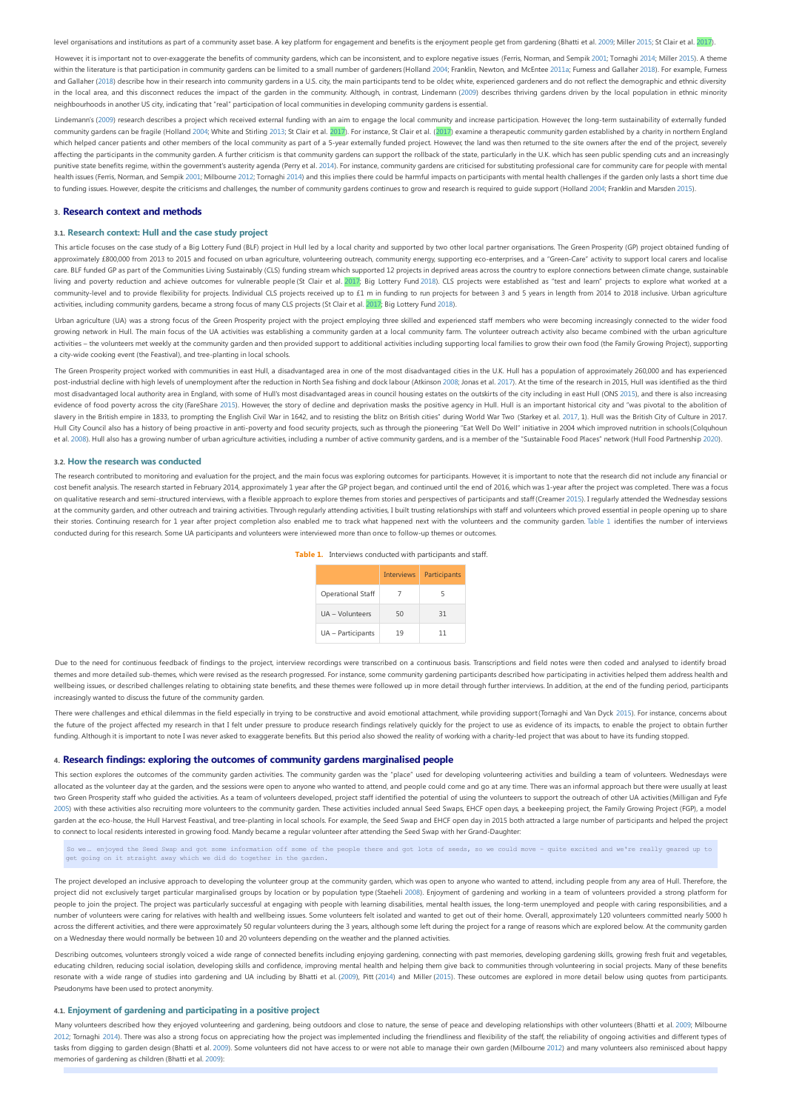level organisationsand institutionsas part of a communityasset base. A key platform forengagement and benefits is the enjoyment people get from gardening (Bhatti et al. [2009](#page-4-17); Miller [2015](#page-4-4);St Clairet al. [2017\)](#page-4-8).

ever, it is important not to over-exaggerate the benefits of community gardens, which can be inconsistent, and to explore negative issues (Ferris, Norman, and Sempik [2001;](#page-4-3) Tornaghi [2014](#page-4-2); Miller [2015](#page-4-4)). A theme within the literature is that participation in community gardens can be limited to a small number of gardeners (Holland [2004](#page-4-16); Franklin, Newton, and McEntee [2011a;](#page-4-20) Furness and Gallaher [2018](#page-4-12)). For example, Furness and Gallaher [\(2018\)](#page-4-12) describe how in their research into community gardens in a U.S. city, the main participants tend to be older, white, experienced gardeners and do not reflect the demographic and ethnic diversity in the local area, and this disconnect reduces the impact of the garden in the community. Although, in contrast, Lindemann [\(2009\)](#page-4-9) describes thriving gardens driven by the local population in ethnic minority neighbourhoods in another US city, indicating that "real" participation of local communities in developing community gardens isessential.

Lindemann's [\(2009\)](#page-4-9) research describes a project which received external funding with an aim to engage the local community and increase participation. However, the long-term sustainability of externally funded community gardens can be fragile (Holland [2004](#page-4-16); White and Stirling [2013;](#page-4-19) St Clair et al. [2017\)](#page-4-8). For instance, St Clair et al. [\(2017\)](#page-4-8) examine a therapeutic community garden established by a charity in northern England which helped cancer patients and other members of the local community as part of a 5-year externally funded project. However, the land was then returned to the site owners after the end of the project, severely affecting the participants in the community garden. A further criticism is that community gardens can support the rollback of the state, particularly in the U.K. which has seen public spending cuts and an increasingly punitive state benefits regime, within the government's austerity agenda (Perry et al. [2014](#page-4-14)). For instance, community gardens are criticised for substituting professional care for community care for people with mental health issues (Ferris, Norman, and Sempik [2001](#page-4-3); Milbourne [2012](#page-4-21); Tornaghi [2014](#page-4-2)) and this implies there could be harmful impacts on participants with mental health challenges if the garden only lasts a short time due to funding issues. However, despite the criticisms and challenges, the number of community gardens continues to grow and research is required to quide support (Holland [2004](#page-4-16); Franklin and Marsden [2015](#page-4-22)).

#### **3. Research context and methods**

# **3.1. Research context: Hull and the case study project**

This article focuses on the case study of a Big Lottery Fund (BLF) project in Hull led by a local charity and supported by two other local partner organisations. The Green Prosperity (GP) project obtained funding of approximately £800,000 from 2013 to 2015 and focused on urban agriculture, volunteering outreach, community energy, supporting eco-enterprises, and a "Green-Care" activity to support local carers and local care. BLF funded GP as part of the Communities Living Sustainably (CLS) funding stream which supported 12 projects in deprived areas across the country to explore connections between climate change, sustainable living and poverty reduction and achieve outcomes for vulnerable people (St Clair et al. [2017](#page-4-8); Big Lottery Fund [2018](#page-4-23)). CLS projects were established as "test and learn" projects to explore what worked at a community-level and to provide flexibility for projects. Individual CLS projects received up to £1 m in funding to run projects for between 3 and 5 years in length from 2014 to 2018 inclusive. Urban agriculture activities, including community gardens, became a strong focus of many CLS projects (St Clair et al. [2017;](#page-4-8) Big Lottery Fund [2018](#page-4-23)).

Urban agriculture (UA) was a strong focus of the Green Prosperity project with the project employing three skilled and experienced staff members who were becoming increasingly connected to the wider food growing network in Hull. The main focus of the UA activities was establishing a community garden at a local community farm. The volunteer outreach activity also became combined with the urban agriculture activities – the volunteers met weekly at the community garden and then provided support to additional activities including supporting local families to grow their own food (the Family Growing Project), supporting a city-wide cooking event (the Feastival), and tree-planting in local schools.

The Green Prosperity project worked with communities in east Hull, a disadvantaged area in one of the most disadvantaged cities in the U.K. Hull has a population of approximately 260,000 and has experienced post-industrial decline with high levels of unemployment after the reduction in North Sea fishing and dock labour (Atkinson [2008](#page-4-24); Jonas et al. [2017](#page-4-25)). At the time of the research in 2015, Hull was identified as the third most disadvantaged local authority area in England, with some of Hull's most disadvantaged areas in council housing estates on the outskirts of the city including in east Hull (ONS [2015](#page-4-26)), and there is also increasing evidence of food noverty across the city (FareShare [2015](#page-4-27)). However, the story of decline and deprivation masks the positive agency in Hull. Hull is an important historical city and "was pivotal to the abolition of slavery in the British empire in 1833, to prompting the English Civil War in 1642, and to resisting the blitz on British cities" during World War Two (Starkey et al. [2017](#page-4-28), 1). Hull was the British City of Culture in 2017. Hull City Council also has a history of being proactive in anti-poverty and food security projects, such as through the pioneering "Eat Well Do Well" initiative in 2004 which improved nutrition in schools (Colquhoun et al. [2008](#page-4-29)). Hull also hasa growing number of urban agriculture activities, including a number of active community gardens,and isa member of the "Sustainable Food Places" network(Hull Food Partnership [2020\)](#page-4-30).

#### **3.2. How the research was conducted**

<span id="page-1-0"></span>The research contributed to monitoring and evaluation for the project, and the main focus was exploring outcomes for participants. However, it is important to note that the research did not include any financial or cost benefit analysis.The research started in February 2014, approximately 1 year after the GP project began, and continued until the end of 2016, which was 1-year after the project was completed.There wasa focus on qualitative research and semi-structured interviews, with a flexible approach to explore themes from stories and perspectives of participants and staff (Creamer [2015\)](#page-4-0). I regularly attended the Wednesday sessions at the community garden, and other outreach and training activities. Through regularly attending activities, I built trusting relationships with staff and volunteers which proved essential in people opening up to share their stories. Continuing research for 1 year after project completion also enabled me to track what happened next with the volunteers and the community garden. [Table](#page-1-0) 1 identifies the number of interviews conducted during for this research. Some UA participants and volunteers were interviewed more than once to follow-up themes or outcomes

|  |  |  | Table 1. Interviews conducted with participants and staff. |  |
|--|--|--|------------------------------------------------------------|--|
|--|--|--|------------------------------------------------------------|--|

|                   | <b>Interviews</b> | Participants |
|-------------------|-------------------|--------------|
| Operational Staff |                   | 5            |
| UA - Volunteers   | 50                | 31           |
| UA - Participants | 19                | 11           |

Due to the need for continuous feedback of findings to the project, interview recordings were transcribed on a continuous basis. Transcriptions and field notes were then coded and analysed to identify broad themes and more detailed sub-themes, which were revised as the research progressed. For instance, some community gardening participants described how participating in activities helped them address health and wellbeing issues, or described challenges relating to obtaining state benefits, and these themes were followed up in more detail through further interviews. In addition, at the end of the funding period, participants increasingly wanted to discuss the future of the community garden.

There were challenges and ethical dilemmas in the field especially in trying to be constructive and avoid emotional attachment, while providing support(Tornaghi and Van Dyck [2015](#page-4-31)). For instance, concerns about the future of the project affected my research in that I felt under pressure to produce research findings relatively quickly for the project to use as evidence of its impacts, to enable the project to obtain further funding. Although it is important to note I was never asked to exaggerate benefits. But this period also showed the reality of working with a charity-led project that wasabout to have its funding stopped.

# **4. Research findings: exploring the outcomes of community gardens marginalised people**

This section explores the outcomes of the community garden activities. The community garden was the "place" used for developing volunteering activities and building a team of volunteers. Wednesdays were allocated as the volunteer day at the garden, and the sessions were open to anyone who wanted to attend, and people could come and go at any time. There was an informal approach but there were usually at least two Green Prosperity staff who quided the activities. As a team of volunteers developed, project staff identified the potential of using the volunteers to support the outreach of other UA activities (Milligan and Fyfe [2005](#page-4-32)) with these activities also recruiting more volunteers to the community garden. These activities included annual Seed Swaps, EHCF open days, a beekeeping project, the Family Growing Project (FGP), a model garden at the eco-house, the Hull Harvest Feastival, and tree-planting in local schools. For example, the Seed Swap and EHCF open day in 2015 both attracted a large number of participants and helped the project to connect to local residents interested in growing food. Mandy became a regular volunteer after attending the Seed Swap with her Grand-Daughter:

So we … enjoyed the Seed Swap and got some information off some of the people there and got lots of seeds, so we could move – quite excited and we're really geared up to get going on it straight away which we did do together in the gard

The project developed an inclusive approach to developing the volunteer group at the community garden, which was open to anyone who wanted to attend, including people from any area of Hull. Therefore, the project did not exclusively target particular marginalised groups by location or by population type (Staeheli [2008](#page-4-33)). Enjoyment of gardening and working in a team of volunteers provided a strong platform for people to join the project. The project was particularly successful at engaging with people with learning disabilities, mental health issues, the long-term unemployed and people with caring responsibilities, and a number of volunteers were caring for relatives with health and wellbeing issues. Some volunteers felt isolated and wanted to get out of their home. Overall, approximately 120 volunteers committed nearly 5000 h across the different activities, and there were approximately 50 regular volunteers during the 3 years, although some left during the project for a range of reasons which are explored below. At the community garden on a Wednesday there would normally be between 10 and 20 volunteers depending on the weather and the planned activities.

Describing outcomes, volunteers strongly voiced a wide range of connected benefits including enjoying gardening, connecting with past memories, developing gardening skills, growing fresh fruit and vegetables, educating children, reducing social isolation, developing skills and confidence, improving mental health and helping them give back to communities through volunteering in social projects. Many of these benefits resonate with a wide range of studies into gardening and UA including by Bhatti et al. [\(2009\)](#page-4-17), Pitt [\(2014\)](#page-4-6) and Miller [\(2015\)](#page-4-4). These outcomes are explored in more detail below using quotes from participants. Pseudonyms have been used to protect anonymity.

# **4.1. Enjoyment of gardening and participating in a positive project**

Many volunteers described how they enjoyed volunteering and gardening, being outdoors and close to nature, the sense of peace and developing relationships with other volunteers (Bhatti et al. [2009;](#page-4-17) Milbourne [2012](#page-4-21); Tornaghi [2014\)](#page-4-2). There was also a strong focus on appreciating how the project was implemented including the friendliness and flexibility of the staff, the reliability of ongoing activities and different types of tasks from digging to garden design (Bhatti et al. [2009](#page-4-17)). Some volunteers did not have access to or were not able to manage their own garden (Milbourne [2012](#page-4-21)) and many volunteers also reminisced about happy memories of gardening as children (Bhatti et al. [2009](#page-4-17)):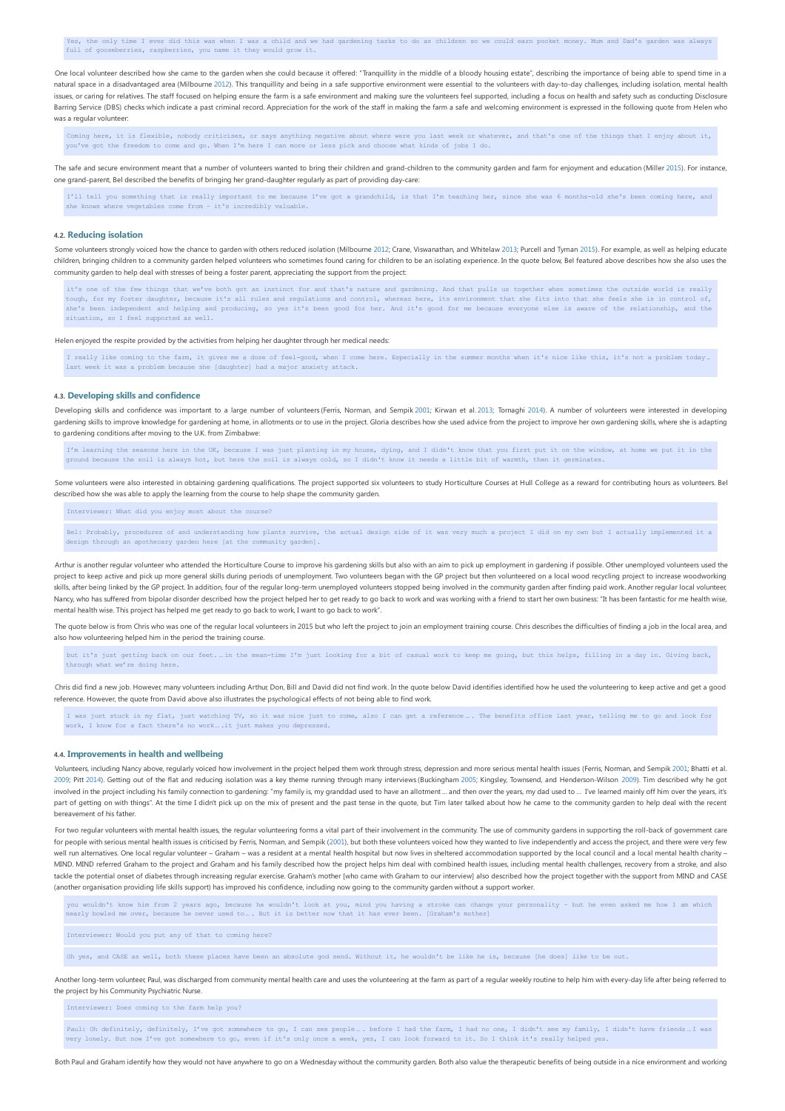Yes, the only time I ever did this was when I was a child and we had gardening tasks to do as children so we could earn pocket money. Mum and Dad's garden was always full of gooseberries, raspberries, you name it they would grow it.

One local volunteer described how she came to the garden when she could because it offered: "Tranquillity in the middle of a bloody housing estate", describing the importance of being able to spend time in a natural space in a disadvantaged area (Milbourne [2012\)](#page-4-21). This tranquillity and being in a safe supportive environment were essential to the volunteers with day-to-day challenges, including isolation, mental health issues, or caring for relatives. The staff focused on helping ensure the farm is a safe environment and making sure the volunteers feel supported, including a focus on health and safety such as conducting Disclosure Barring Service (DBS) checks which indicate a past criminal record. Appreciation for the work of the staff in making the farm a safe and welcoming environment is expressed in the following quote from Helen who wasa regular volunteer:

Coming here, it is flexible, nobody criticises, or says anything negative about where were you last week or whatever, and that's one of the things that I enjoy about it,<br>you've got the freedom to come and go. When I'm here

The safe and secure environment meant that a number of volunteers wanted to bring their children and grand-children to the community garden and farm for enjoyment and education (Miller [2015](#page-4-4)). For instance, one grand-parent, Bel described the benefits of bringing her grand-daughter regularlyas part of providing day-care:

I'll tell you something that is really important to me because I've got a grandchild, is that I'm teaching her, since she was 6 months-old she's been coming here, and ere vegetables come from – it's incredibly valuable

#### **4.2. Reducing isolation**

Some volunteers strongly voiced how the chance to garden with others reduced isolation (Milbourne [2012;](#page-4-21) Crane, Viswanathan, and Whitelaw [2013;](#page-4-10) Purcell and Tyman [2015](#page-4-7)). For example, as well as helping educate children, bringing children to a community garden helped volunteers who sometimes found caring for children to be an isolating experience. In the quote below, Bel featured above describes how she also uses the community garden to help deal with stresses of being a foster parent, appreciating the support from the project:

it's one of the few things that we've both got an instinct for and that's nature and gardening. And that pulls us together when sometimes the outside world is really tough, for my foster daughter, because it's all rules and regulations and control, whereas here, its environment that she fits into that she feels she is in control of,<br>she's been independent and helping and producing, so situation, so I feel supported as well.

Helen enjoyed the respite provided by the activities from helping her daughter through her medical needs:

I really like coming to the farm, it gives me a dose of feel-good, when I come here. Especially in the summer months when it's nice like this, it's not a problem today…<br>last week it was a problem because she [daughter] had

# **4.3. Developing skills and confidence**

Developing skills and confidence was important to a large number of volunteers(Ferris, Norman, and Sempik [2001](#page-4-3); Kirwan et al. [2013](#page-4-11); Tornaghi [2014](#page-4-2)). A number of volunteers were interested in developing gardening skills to improve knowledge for gardening at home, in allotments or to use in the project. Gloria describes how she used advice from the project to improve her own gardening skills, where she isadapting to gardening conditions after moving to the U.K. from Zimbabwe:

I'm learning the seasons here in the UK, because I was just planting in my house, dying, and I didn't know that you first put it on the window, at home we put it in the ground because the soil is always hot, but here the soil is always cold, so I didn't know it needs a little bit of warmth, then it germinates.

Some volunteers were also interested in obtaining gardening qualifications. The project supported six volunteers to study Horticulture Courses at Hull College as a reward for contributing hours as volunteers. Bel described how she wasable to apply the learning from the course to help shape the community garden.

Interviewer: What did you enjoy most about the course?

Bel: Probably, procedures of and understanding how plants survive, the actual design side of it was very much a project I did on my own but I actually implemented it a design through an apothecary garden here [at the community garden].

Arthur is another regular volunteer who attended the Horticulture Course to improve his gardening skills but also with an aim to pick up employment in gardening if possible. Other unemployed volunteers used the project to keep active and pick up more general skills during periods of unemployment. Two volunteers began with the GP project but then volunteered on a local wood recycling project to increase woodworking skills, after being linked by the GP project. In addition, four of the regular long-term unemployed volunteers stopped being involved in the community garden after finding paid work. Another regular local volunteer, Nancy, who has suffered from bipolar disorder described how the project helped her to get ready to go back to work and was working with a friend to start her own business: "It has been fantastic for me health wise, mental health wise. This project has helped me get ready to go back to work, I want to go back to work".

The quote below is from Chris who was one of the regular local volunteers in 2015 but who left the project to join an employment training course. Chris describes the difficulties of finding a job in the local area, and also how volunteering helped him in the period the training course.

but it's just getting back on our feet. … in the mean-time I'm just looking for a bit of casual work to keep me going, but this helps, filling in a day in. Giving back, through what we're doing here.

Chris did find a new job. However, many volunteers including Arthur, Don, Bill and David did not find work. In the quote below David identifies identified how he used the volunteering to keep active and get a good reference. However, the quote from David above also illustrates the psychological effects of not being able to find work.

I was just stuck in my flat, just watching TV, so it was nice just to come, also I can get a reference … . The benefits office last year, telling me to go and look for e's no work....it just makes you depi

#### **4.4. Improvements in health and wellbeing**

Volunteers, including Nancy above, regularly voiced how involvement in the project helped them work through stress, depression and more serious mental health issues (Ferris, Norman, and Sempik [2001](#page-4-3); Bhatti et al. [2009](#page-4-17); Pitt [2014\)](#page-4-6). Getting out of the flat and reducing isolation was a key theme running through many interviews(Buckingham [2005;](#page-4-13) Kingsley, Townsend, and Henderson-Wilson [2009\)](#page-4-34). Tim described why he got involved in the project including his family connection to gardening: "my family is, my granddad used to have an allotment ... and then over the years, my dad used to ... I've learned mainly off him over the years, it's part of getting on with things". At the time I didn't pick up on the mix of present and the past tense in the quote, but Tim later talked about how he came to the community garden to help deal with the recent bereavement of his father.

For two regular volunteers with mental health issues, the regular volunteering forms a vital part of their involvement in the community. The use of community gardens in supporting the roll-back of government care for people with serious mental health issues is criticised by Ferris, Norman, and Sempik [\(2001](#page-4-3)), but both these volunteers voiced how they wanted to live independently and access the project, and there were very few well run alternatives. One local regular volunteer – Graham – was a resident at a mental health hospital but now lives in sheltered accommodation supported by the local council and a local mental health charity – MIND. MIND referred Graham to the project and Graham and his family described how the project helps him deal with combined health issues, including mental health challenges, recovery from a stroke, and also tackle the potential onset of diabetes through increasing regular exercise. Graham's mother [who came with Graham to our interview] also described how the project together with the support from MIND and CASE (another organisation providing life skills support) has improved his confidence, including now going to the community garden without a support worker.

you wouldn't know him from 2 years ago, because he wouldn't look at you, mind you having a stroke can change your personality – but he even asked me how I am which nearly bowled me over, because he never used to ... But it is better now that it has ever been. [Graham's mother]

Interviewer: Would you put any of that to coming here?

Oh yes, and CASE as well, both these places have been an absolute god send. Without it, he wouldn't be like he is, because [he does] like to be out.

Another long-term volunteer, Paul, was discharged from community mental health care and uses the volunteering at the farm as part of a regular weekly routine to help him with every-day life after being referred to the project by his Community Psychiatric Nurse.

Interviewer: Does coming to the farm help you?

Paul: Oh definitely, definitely, I've got somewhere to go, I can see people…. before I had the farm, I had no one, I didn't see my family, I didn't have friends…I was<br>very lonely. But now I've got somewhere to go, even if

Both Paul and Graham identify how they would not have anywhere to go on a Wednesday without the community garden. Both also value the therapeutic benefits of being outside in a nice environment and working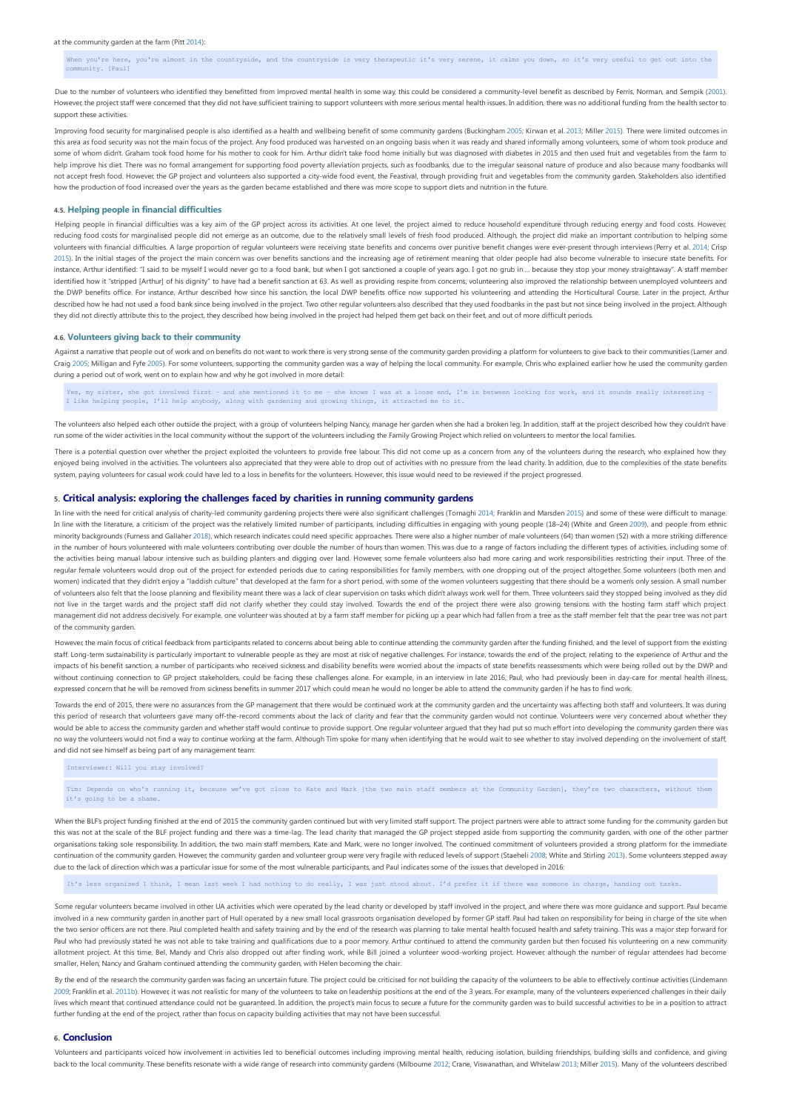When you're here, you're almost in the countryside, and the countryside is very therapeutic it's very serene, it calms you down, so it's very useful to get out into the unity. [Paul]

Due to the number of volunteers who identified they benefitted from improved mental health in some way, this could be considered a community-level benefit as described by Ferris, Norman, and Sempik ([2001](#page-4-3)). However, the project staff were concerned that they did not have sufficient training to support volunteers with more serious mental health issues. In addition, there was no additional funding from the health sector to support these activities.

Improving food security for marginalised people is also identified as a health and wellbeing benefit of some community gardens (Buckingham [2005;](#page-4-13) Kirwan et al. [2013;](#page-4-11) Miller [2015](#page-4-4)). There were limited outcomes in this area as food security was not the main focus of the project. Any food produced was harvested on an opgoing basis when it was ready and shared informally among volunteers, some of whom took produce and some of whom didn't. Graham took food home for his mother to cook for him. Arthur didn't take food home initially but was diagnosed with diabetes in 2015 and then used fruit and vegetables from the farm to help improve his diet. There was no formal arrangement for supporting food poverty alleviation projects, such as foodbanks, due to the irregular seasonal nature of produce and also because many foodbanks will not accept fresh food. However, the GP project and volunteers also supported a city-wide food event, the Feastival, through providing fruit and vegetables from the community garden. Stakeholders also identified how the production of food increased over the years as the garden became established and there was more scope to support diets and nutrition in the future.

# **4.5. Helping people in financial difficulties**

Helping people in financial difficulties was a key aim of the GP project across its activities. At one level, the project aimed to reduce household expenditure through reducing energy and food costs. However, reducing food costs for marginalised people did not emerge as an outcome, due to the relatively small levels of fresh food produced. Although, the project did make an important contribution to helping some volunteers with financial difficulties. A large proportion of regular volunteers were receiving state benefits and concerns over punitive benefit changes were ever-present through interviews(Perry et al. [2014](#page-4-14); Crisp [2015](#page-4-15)). In the initial stages of the project the main concern was over benefits sanctions and the increasing age of retirement meaning that older people had also become vulnerable to insecure state benefits. For instance, Arthur identified: "I said to be myself I would never go to a food bank, but when Igot sanctioned a couple of years ago. I got no grub in … because they stop your money straightaway". A staff member identified how it "stripped [Arthur] of his dignity" to have had a benefit sanction at 63. As well as providing respite from concerns, volunteering also improved the relationship between unemployed volunteers and the DWP benefits office. For instance, Arthur described how since his sanction, the local DWP benefits office now supported his volunteering and attending the Horticultural Course. Later in the project, Arthur described how he had not used a food bank since being involved in the project. Two other regular volunteers also described that they used foodbanks in the past but not since being involved in the project. Although they did not directlyattribute this to the project, they described how being involved in the project had helped them get back on their feet,and out of more difficult periods.

# **4.6. Volunteers giving back to their community**

Against a narrative that people out of work and on benefits do not want to work there is very strong sense of the community garden providing a platform for volunteers to give back to their communities (Larner and Craig [2005](#page-4-32); Milligan and Fyfe 2005). For some volunteers, supporting the community garden was a way of helping the local community. For example, Chris who explained earlier how he used the community garden during a period out of work, went on to explain how and why he got involved in more detail:

Yes, my sister, she got involved first - and she mentioned it to me - she knows I was at a loose end, I'm in between looking for work, and it sounds really interesting -I like helping people, I'll help anybody, along with gardening and growing things, it attracted me to it.

The volunteers also helped each other outside the project, with a group of volunteers helping Nancy, manage her garden when she had a broken leg. In addition, staff at the project described how they couldn't have run some of the wider activities in the local community without the support of the volunteers including the Family Growing Project which relied on volunteers to mentor the local families

re is a potential question over whether the project exploited the volunteers to provide free labour. This did not come up as a concern from any of the volunteers during the research, who explained how they enjoyed being involved in the activities. The volunteers also appreciated that they were able to drop out of activities with no pressure from the lead charity. In addition, due to the complexities of the state benefits system, paying volunteers for casual workcould have led to a loss in benefits for the volunteers. However, this issue would need to be reviewed if the project progressed.

# **5. Critical analysis: exploring the challenges faced by charities in running community gardens**

In line with the need for critical analysis of charity-led community gardening projects there were also significant challenges (Tornaghi [2014;](#page-4-2) Franklin and Marsden [2015\)](#page-4-22) and some of these were difficult to manage. In line with the literature, a criticism of the project was the relatively limited number of participants, including difficulties in engaging with young people (18-24) (White and Green [2009](#page-4-36)), and people from ethnic minority backgrounds (Furnessand Gallaher [2018\)](#page-4-12), which research indicates could need specific approaches. There were also a higher number of male volunteers (64) than women (52) with a more striking difference in the number of hours volunteered with male volunteers contributing over double the number of hours than women. This was due to a range of factors including the different types of activities, including some of the activities being manual labour intensive such as building planters and digging over land. However, some female volunteers also had more caring and work responsibilities restricting their input. Three of the regular female volunteers would drop out of the project for extended periods due to caring responsibilities for family members, with one dropping out of the project altogether. Some volunteers (both men and women) indicated that they didn't enjoy a "laddish culture" that developed at the farm for a short period, with some of the women volunteers suggesting that there should be a women's only session. A small number of volunteersalso felt that the loose planning and flexibility meant there wasa lack of clear supervision on tasks which didn't always work well for them.Three volunteers said they stopped being involved as they did not live in the target wards and the project staff did not clarify whether they could stay involved. Towards the end of the project there were also growing tensions with the hosting farm staff which project management did not address decisively. For example, one volunteer was shouted at by a farm staff member for picking up a pear which had fallen from a tree as the staff member felt that the pear tree was not part of the community garden.

However, the main focus of critical feedback from participants related to concerns about being able to continue attending the community garden after the funding finished, and the level of support from the existing staff. Long-term sustainability is particularly important to vulnerable people as they are most at risk of negative challenges. For instance, towards the end of the project, relating to the experience of Arthur and the impacts of his benefit sanction, a number of participants who received sickness and disability benefits were worried about the impacts of state benefits reassessments which were being rolled out by the DWP and without continuing connection to GP project stakeholders, could be facing these challenges alone. For example, in an interview in late 2016, Paul, who had previously been in day-care for mental health illness, expressed concern that he will be removed from sickness benefits in summer 2017 which could mean he would no longer be able to attend the community garden if he has to find work.

Towards the end of 2015, there were no assurances from the GP management that there would be continued work at the community garden and the uncertainty was affecting both staff and volunteers. It was during this period of research that volunteers gave many off-the-record comments about the lack of clarity and fear that the community garden would not continue. Volunteers were very concerned about whether they would be able to access the community garden and whether staff would continue to provide support. One regular volunteer argued that they had put so much effort into developing the community garden there was no way the volunteers would not find a way to continue working at the farm. Although Tim spoke for many when identifying that he would wait to see whether to stay involved depending on the involvement of staff, and did not see himself as being part of any management team:

# Interviewer: Will you stay involved?

Tim: Depends on who's running it, because we've got close to Kate and Mark [the two main staff members at the Community Garden], they're two characters, without them  $it's aoinc to be a she$ 

When the BLF's project funding finished at the end of 2015 the community garden continued but with very limited staff support. The project partners were able to attract some funding for the community garden but this was not at the scale of the BLF project funding and there was a time-lag. The lead charity that managed the GP project stepped aside from supporting the community garden, with one of the other partner organisations taking sole responsibility. In addition, the two main staff members, Kate and Mark, were no longer involved. The continued commitment of volunteers provided a strong platform for the immediate continuation of the community garden. However, the community garden and volunteer group were very fragile with reduced levels of support (Staeheli [2008;](#page-4-33) White and Stirling [2013](#page-4-19)). Some volunteers stepped away due to the lack of direction which was a particular issue for some of the most vulnerable participants, and Paul indicates some of the issues that developed in 2016:

# It's less organised I think, I mean last week I had nothing to do really, I was just stood about. I'd prefer it if there was someone in charge, handing out tasks.

Some regular volunteers became involved in other UA activities which were operated by the lead charity or developed by staff involved in the project, and where there was more quidance and support. Paul became involved in a new community garden in another part of Hull operated by a new small local grassroots organisation developed by former GP staff. Paul had taken on responsibility for being in charge of the site when the two senior officers are not there. Paul completed health and safety training and by the end of the research was planning to take mental health focused health and safety training. This was a major step forward for Paul who had previously stated he was not able to take training and qualifications due to a poor memory. Arthur continued to attend the community garden but then focused his volunteering on a new community allotment project. At this time, Bel, Mandy and Chris also dropped out after finding work, while Bill joined a volunteer wood-working project. However, although the number of regular attendees had become smaller, Helen, Nancyand Graham continued attending the community garden, with Helen becoming the chair.

By the end of the research the community garden was facing an uncertain future. The project could be criticised for not building the capacity of the volunteers to be able to effectively continue activities (Lindemann [2009](#page-4-9); Franklin et al. [2011b](#page-4-37)). However, it was not realistic for many of the volunteers to take on leadership positions at the end of the 3 years. For example, many of the volunteers experienced challenges in their daily lives which meant that continued attendance could not be guaranteed. In addition, the project's main focus to secure a future for the community garden was to build successful activities to be in a position to attract further funding at the end of the project, rather than focus on capacity building activities that may not have been successful.

#### **6. Conclusion**

Volunteers and participants voiced how involvement in activities led to beneficial outcomes including improving mental health, reducing isolation, building friendships, building skills and confidence, and giving back to the local community. These benefits resonate with a wide range of research into community gardens (Milbourne [2012](#page-4-21); Crane, Viswanathan, and Whitelaw [2013](#page-4-10); Miller [2015](#page-4-4)). Many of the volunteers described